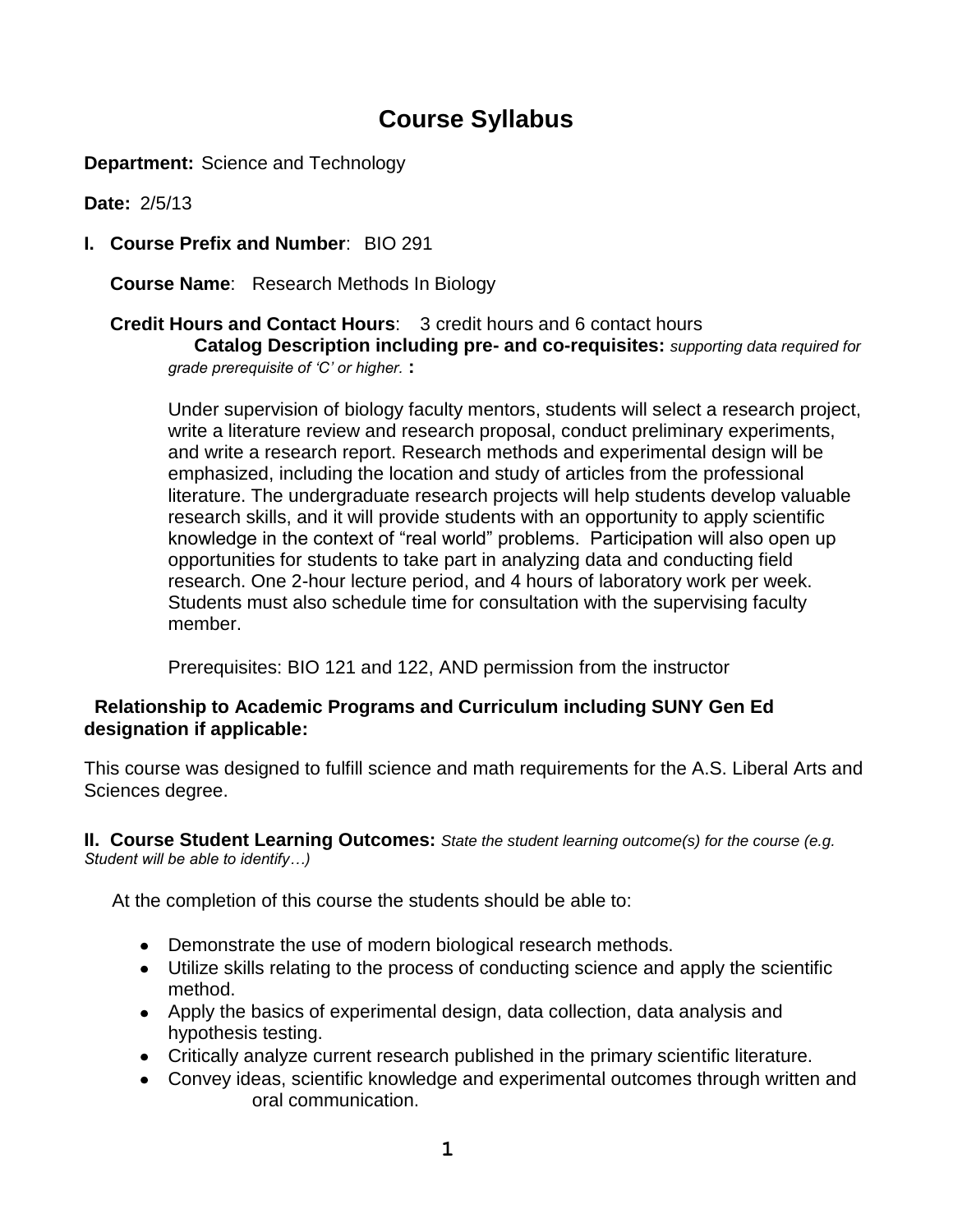# **Course Syllabus**

**Department:** Science and Technology

**Date:** 2/5/13

**I. Course Prefix and Number**: BIO 291

 **Course Name**: Research Methods In Biology

 **Credit Hours and Contact Hours**: 3 credit hours and 6 contact hours **Catalog Description including pre- and co-requisites:** *supporting data required for grade prerequisite of 'C' or higher.* **:**

Under supervision of biology faculty mentors, students will select a research project, write a literature review and research proposal, conduct preliminary experiments, and write a research report. Research methods and experimental design will be emphasized, including the location and study of articles from the professional literature. The undergraduate research projects will help students develop valuable research skills, and it will provide students with an opportunity to apply scientific knowledge in the context of "real world" problems. Participation will also open up opportunities for students to take part in analyzing data and conducting field research. One 2-hour lecture period, and 4 hours of laboratory work per week. Students must also schedule time for consultation with the supervising faculty member.

Prerequisites: BIO 121 and 122, AND permission from the instructor

#### **Relationship to Academic Programs and Curriculum including SUNY Gen Ed designation if applicable:**

This course was designed to fulfill science and math requirements for the A.S. Liberal Arts and Sciences degree.

**II. Course Student Learning Outcomes:** *State the student learning outcome(s) for the course (e.g. Student will be able to identify…)*

At the completion of this course the students should be able to:

- Demonstrate the use of modern biological research methods.
- Utilize skills relating to the process of conducting science and apply the scientific method.
- Apply the basics of experimental design, data collection, data analysis and hypothesis testing.
- Critically analyze current research published in the primary scientific literature.
- Convey ideas, scientific knowledge and experimental outcomes through written and oral communication.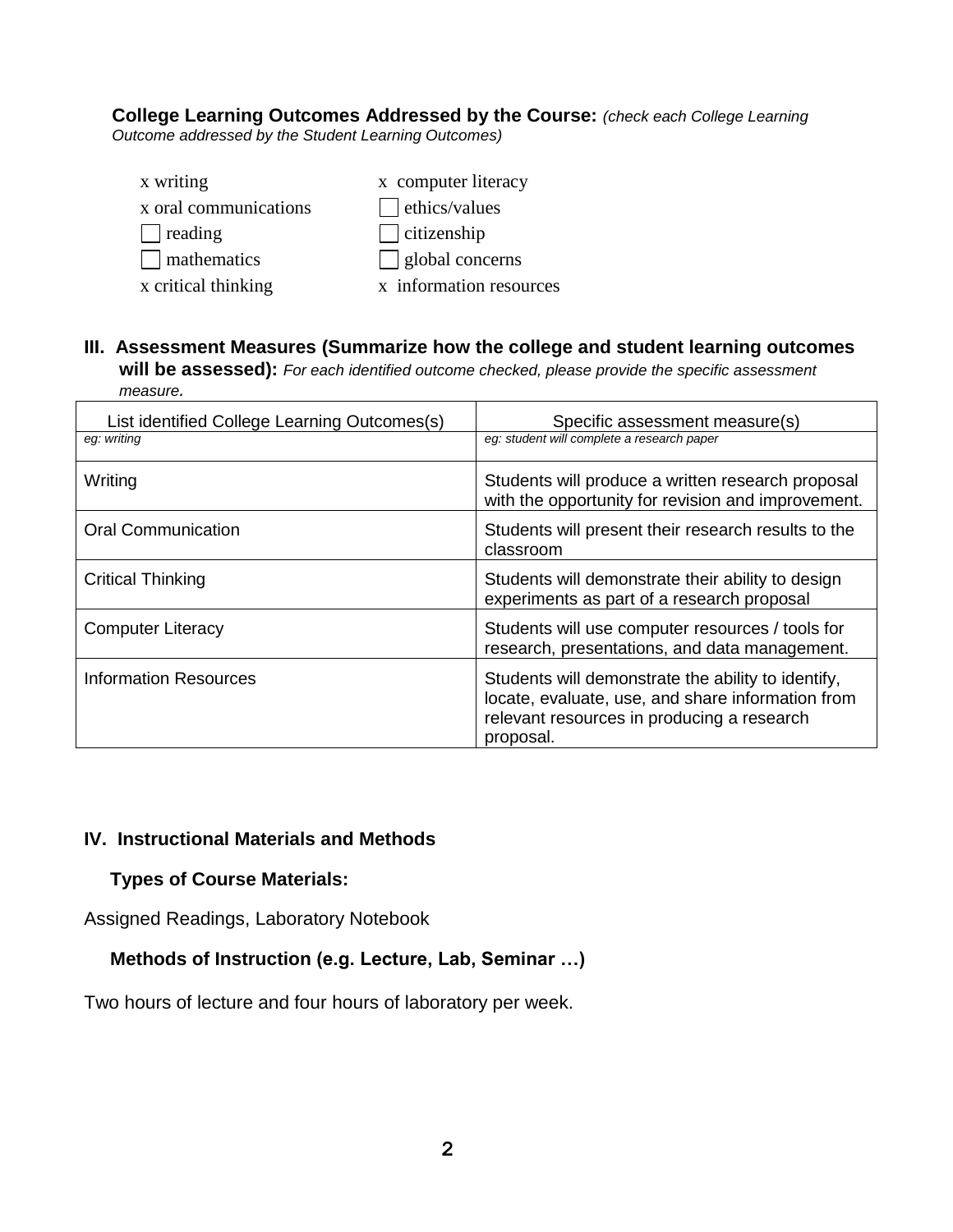#### **College Learning Outcomes Addressed by the Course:** *(check each College Learning*

*Outcome addressed by the Student Learning Outcomes)*

| x writing             | x computer literacy     |
|-----------------------|-------------------------|
| x oral communications | $\Box$ ethics/values    |
| $\vert$ reading       | $\Box$ citizenship      |
| $\Box$ mathematics    | $\Box$ global concerns  |
| x critical thinking   | x information resources |

#### **III. Assessment Measures (Summarize how the college and student learning outcomes will be assessed):** *For each identified outcome checked, please provide the specific assessment measure.*

| List identified College Learning Outcomes(s) | Specific assessment measure(s)                                                                                                                                     |
|----------------------------------------------|--------------------------------------------------------------------------------------------------------------------------------------------------------------------|
| eq: writing                                  | eq: student will complete a research paper                                                                                                                         |
| Writing                                      | Students will produce a written research proposal<br>with the opportunity for revision and improvement.                                                            |
| <b>Oral Communication</b>                    | Students will present their research results to the<br>classroom                                                                                                   |
| <b>Critical Thinking</b>                     | Students will demonstrate their ability to design<br>experiments as part of a research proposal                                                                    |
| <b>Computer Literacy</b>                     | Students will use computer resources / tools for<br>research, presentations, and data management.                                                                  |
| <b>Information Resources</b>                 | Students will demonstrate the ability to identify,<br>locate, evaluate, use, and share information from<br>relevant resources in producing a research<br>proposal. |

## **IV. Instructional Materials and Methods**

## **Types of Course Materials:**

Assigned Readings, Laboratory Notebook

## **Methods of Instruction (e.g. Lecture, Lab, Seminar …)**

Two hours of lecture and four hours of laboratory per week.